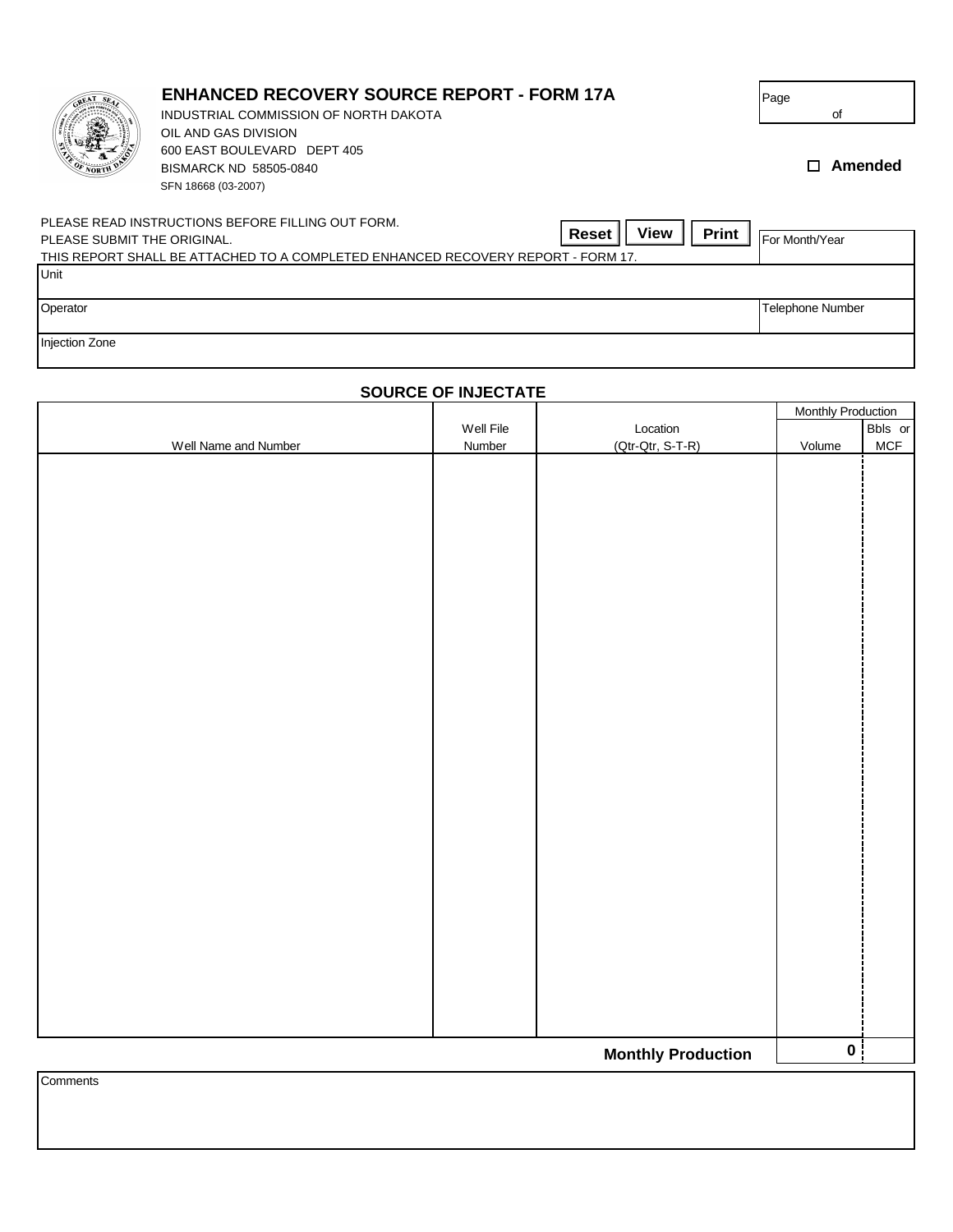| <b>OF NORTH</b>             | <b>ENHANCED RECOVERY SOURCE REPORT - FORM 17A</b><br>INDUSTRIAL COMMISSION OF NORTH DAKOTA<br>OIL AND GAS DIVISION<br>600 EAST BOULEVARD DEPT 405<br>BISMARCK ND 58505-0840<br>SFN 18668 (03-2007) | Page<br>оf<br>Amended<br>п |
|-----------------------------|----------------------------------------------------------------------------------------------------------------------------------------------------------------------------------------------------|----------------------------|
| PLEASE SUBMIT THE ORIGINAL. | PLEASE READ INSTRUCTIONS BEFORE FILLING OUT FORM.<br><b>View</b><br>Print<br>Reset<br>THIS REPORT SHALL BE ATTACHED TO A COMPLETED ENHANCED RECOVERY REPORT - FORM 17.                             | For Month/Year             |
| Unit<br>Operator            |                                                                                                                                                                                                    | <b>Telephone Number</b>    |
| <b>Injection Zone</b>       |                                                                                                                                                                                                    |                            |

|                      |           |                           | <b>Monthly Production</b> |            |
|----------------------|-----------|---------------------------|---------------------------|------------|
|                      | Well File | Location                  |                           | Bbls or    |
| Well Name and Number | Number    | (Qtr-Qtr, S-T-R)          | Volume                    | <b>MCF</b> |
|                      |           |                           |                           |            |
|                      |           |                           |                           |            |
|                      |           |                           |                           |            |
|                      |           |                           |                           |            |
|                      |           |                           |                           |            |
|                      |           |                           |                           |            |
|                      |           |                           |                           |            |
|                      |           |                           |                           |            |
|                      |           |                           |                           |            |
|                      |           |                           |                           |            |
|                      |           |                           |                           |            |
|                      |           |                           |                           |            |
|                      |           |                           |                           |            |
|                      |           |                           |                           |            |
|                      |           |                           |                           |            |
|                      |           |                           |                           |            |
|                      |           |                           |                           |            |
|                      |           |                           |                           |            |
|                      |           |                           |                           |            |
|                      |           |                           |                           |            |
|                      |           |                           |                           |            |
|                      |           |                           |                           |            |
|                      |           |                           |                           |            |
|                      |           |                           |                           |            |
|                      |           |                           |                           |            |
|                      |           |                           |                           |            |
|                      |           |                           |                           |            |
|                      |           |                           |                           |            |
|                      |           |                           |                           |            |
|                      |           |                           |                           |            |
|                      |           |                           |                           |            |
|                      |           |                           |                           |            |
|                      |           | <b>Monthly Production</b> | $\mathbf{0}$              |            |
| Comments             |           |                           |                           |            |
|                      |           |                           |                           |            |

## **SOURCE OF INJECTATE**